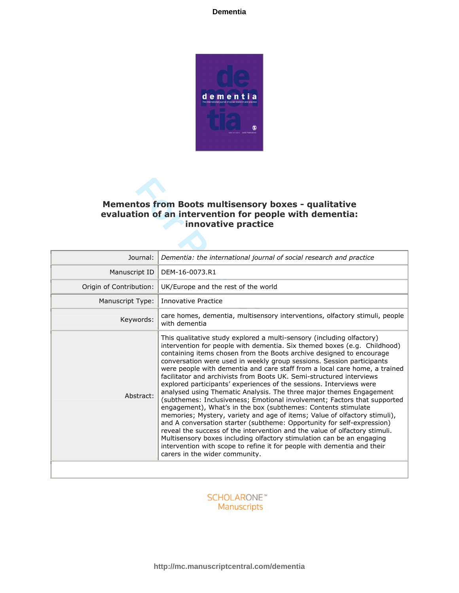

# **Mementos from Boots multisensory boxes - qualitative evaluation of an intervention for people with dementia: innovative practice**

| <b>Mementos from Boots multisensory boxes - qualitative</b><br>evaluation of an intervention for people with dementia:<br>innovative practice |                                                                                                                                                                                                                                                                                                                                                                                                                                                                                                                                                                                                                                                                                                                                                                                                                                                                                                                                                                                                                                                                                                                                                                                |  |  |  |
|-----------------------------------------------------------------------------------------------------------------------------------------------|--------------------------------------------------------------------------------------------------------------------------------------------------------------------------------------------------------------------------------------------------------------------------------------------------------------------------------------------------------------------------------------------------------------------------------------------------------------------------------------------------------------------------------------------------------------------------------------------------------------------------------------------------------------------------------------------------------------------------------------------------------------------------------------------------------------------------------------------------------------------------------------------------------------------------------------------------------------------------------------------------------------------------------------------------------------------------------------------------------------------------------------------------------------------------------|--|--|--|
| Journal:                                                                                                                                      | Dementia: the international journal of social research and practice                                                                                                                                                                                                                                                                                                                                                                                                                                                                                                                                                                                                                                                                                                                                                                                                                                                                                                                                                                                                                                                                                                            |  |  |  |
| Manuscript ID                                                                                                                                 | DEM-16-0073.R1                                                                                                                                                                                                                                                                                                                                                                                                                                                                                                                                                                                                                                                                                                                                                                                                                                                                                                                                                                                                                                                                                                                                                                 |  |  |  |
| Origin of Contribution:                                                                                                                       | UK/Europe and the rest of the world                                                                                                                                                                                                                                                                                                                                                                                                                                                                                                                                                                                                                                                                                                                                                                                                                                                                                                                                                                                                                                                                                                                                            |  |  |  |
| Manuscript Type:                                                                                                                              | Innovative Practice                                                                                                                                                                                                                                                                                                                                                                                                                                                                                                                                                                                                                                                                                                                                                                                                                                                                                                                                                                                                                                                                                                                                                            |  |  |  |
| Keywords:                                                                                                                                     | care homes, dementia, multisensory interventions, olfactory stimuli, people<br>with dementia                                                                                                                                                                                                                                                                                                                                                                                                                                                                                                                                                                                                                                                                                                                                                                                                                                                                                                                                                                                                                                                                                   |  |  |  |
| Abstract:                                                                                                                                     | This qualitative study explored a multi-sensory (including olfactory)<br>intervention for people with dementia. Six themed boxes (e.g. Childhood)<br>containing items chosen from the Boots archive designed to encourage<br>conversation were used in weekly group sessions. Session participants<br>were people with dementia and care staff from a local care home, a trained<br>facilitator and archivists from Boots UK. Semi-structured interviews<br>explored participants' experiences of the sessions. Interviews were<br>analysed using Thematic Analysis. The three major themes Engagement<br>(subthemes: Inclusiveness; Emotional involvement; Factors that supported<br>engagement), What's in the box (subthemes: Contents stimulate<br>memories; Mystery, variety and age of items; Value of olfactory stimuli),<br>and A conversation starter (subtheme: Opportunity for self-expression)<br>reveal the success of the intervention and the value of olfactory stimuli.<br>Multisensory boxes including olfactory stimulation can be an engaging<br>intervention with scope to refine it for people with dementia and their<br>carers in the wider community. |  |  |  |
|                                                                                                                                               |                                                                                                                                                                                                                                                                                                                                                                                                                                                                                                                                                                                                                                                                                                                                                                                                                                                                                                                                                                                                                                                                                                                                                                                |  |  |  |

# **SCHOLARONE**™ Manuscripts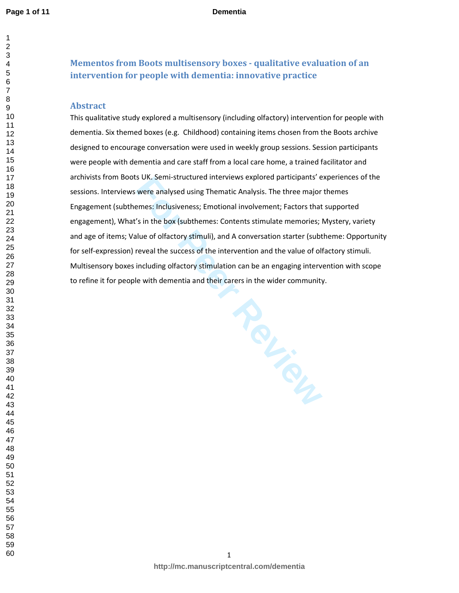# **Mementos from Boots multisensory boxes - qualitative evaluation of an intervention for people with dementia: innovative practice**

# **Abstract**

This qualitative study explored a multisensory (including olfactory) intervention for people with dementia. Six themed boxes (e.g. Childhood) containing items chosen from the Boots archive designed to encourage conversation were used in weekly group sessions. Session participants were people with dementia and care staff from a local care home, a trained facilitator and archivists from Boots UK. Semi-structured interviews explored participants' experiences of the sessions. Interviews were analysed using Thematic Analysis. The three major themes Engagement (subthemes: Inclusiveness; Emotional involvement; Factors that supported engagement), What's in the box (subthemes: Contents stimulate memories; Mystery, variety and age of items; Value of olfactory stimuli), and A conversation starter (subtheme: Opportunity for self-expression) reveal the success of the intervention and the value of olfactory stimuli. Multisensory boxes including olfactory stimulation can be an engaging intervention with scope to refine it for people with dementia and their carers in the wider community.

**Percycle**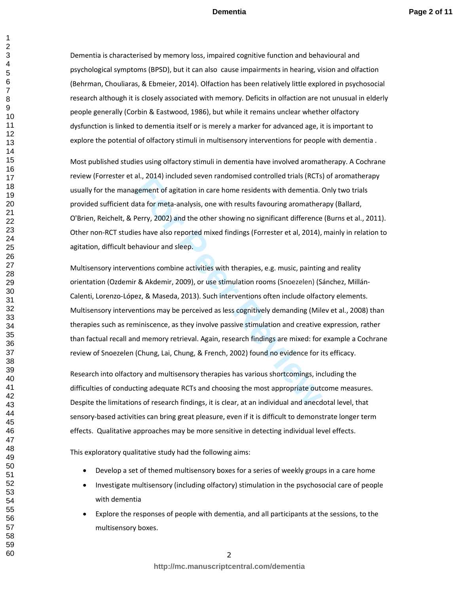Dementia is characterised by memory loss, impaired cognitive function and behavioural and psychological symptoms (BPSD), but it can also cause impairments in hearing, vision and olfaction (Behrman, Chouliaras, & Ebmeier, 2014). Olfaction has been relatively little explored in psychosocial research although it is closely associated with memory. Deficits in olfaction are not unusual in elderly people generally (Corbin & Eastwood, 1986), but while it remains unclear whether olfactory dysfunction is linked to dementia itself or is merely a marker for advanced age, it is important to explore the potential of olfactory stimuli in multisensory interventions for people with dementia .

Most published studies using olfactory stimuli in dementia have involved aromatherapy. A Cochrane review (Forrester et al., 2014) included seven randomised controlled trials (RCTs) of aromatherapy usually for the management of agitation in care home residents with dementia. Only two trials provided sufficient data for meta-analysis, one with results favouring aromatherapy (Ballard, O'Brien, Reichelt, & Perry, 2002) and the other showing no significant difference (Burns et al., 2011). Other non-RCT studies have also reported mixed findings (Forrester et al, 2014), mainly in relation to agitation, difficult behaviour and sleep.

all, 2014) included severi randomised controlled trials (NCTs<br>gement of agitation in care home residents with dementia. (to task for meta-analysis, one with results favouring aromather<br>Perry, 2002) and the other showing no Multisensory interventions combine activities with therapies, e.g. music, painting and reality orientation (Ozdemir & Akdemir, 2009), or use stimulation rooms (Snoezelen) (Sánchez, Millán-Calenti, Lorenzo-López, & Maseda, 2013). Such interventions often include olfactory elements. Multisensory interventions may be perceived as less cognitively demanding (Milev et al., 2008) than therapies such as reminiscence, as they involve passive stimulation and creative expression, rather than factual recall and memory retrieval. Again, research findings are mixed: for example a Cochrane review of Snoezelen (Chung, Lai, Chung, & French, 2002) found no evidence for its efficacy.

Research into olfactory and multisensory therapies has various shortcomings, including the difficulties of conducting adequate RCTs and choosing the most appropriate outcome measures. Despite the limitations of research findings, it is clear, at an individual and anecdotal level, that sensory-based activities can bring great pleasure, even if it is difficult to demonstrate longer term effects. Qualitative approaches may be more sensitive in detecting individual level effects.

This exploratory qualitative study had the following aims:

- Develop a set of themed multisensory boxes for a series of weekly groups in a care home
- Investigate multisensory (including olfactory) stimulation in the psychosocial care of people with dementia
- Explore the responses of people with dementia, and all participants at the sessions, to the multisensory boxes.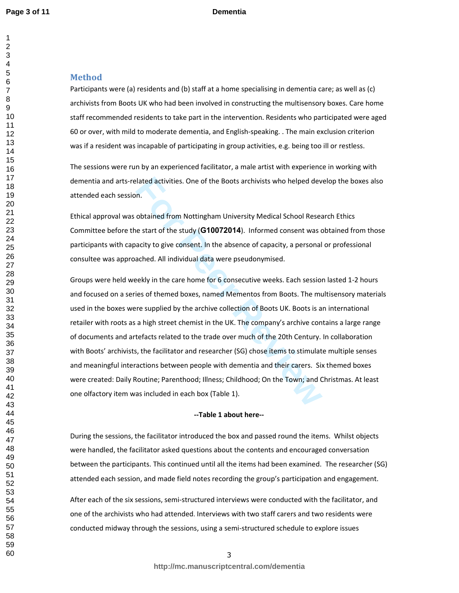# **Method**

Participants were (a) residents and (b) staff at a home specialising in dementia care; as well as (c) archivists from Boots UK who had been involved in constructing the multisensory boxes. Care home staff recommended residents to take part in the intervention. Residents who participated were aged 60 or over, with mild to moderate dementia, and English-speaking. . The main exclusion criterion was if a resident was incapable of participating in group activities, e.g. being too ill or restless.

The sessions were run by an experienced facilitator, a male artist with experience in working with dementia and arts-related activities. One of the Boots archivists who helped develop the boxes also attended each session.

Ethical approval was obtained from Nottingham University Medical School Research Ethics Committee before the start of the study (**G10072014**). Informed consent was obtained from those participants with capacity to give consent. In the absence of capacity, a personal or professional consultee was approached. All individual data were pseudonymised.

related activities. One of the Boots archivists who helped dev<br>
n.<br> **Formula activity Complem Continghan** University Medical School Researt<br>
e start of the study (G10072014). Informed consent was c<br>
acity to give consent. Groups were held weekly in the care home for 6 consecutive weeks. Each session lasted 1-2 hours and focused on a series of themed boxes, named Mementos from Boots. The multisensory materials used in the boxes were supplied by the archive collection of Boots UK. Boots is an international retailer with roots as a high street chemist in the UK. The company's archive contains a large range of documents and artefacts related to the trade over much of the 20th Century. In collaboration with Boots' archivists, the facilitator and researcher (SG) chose items to stimulate multiple senses and meaningful interactions between people with dementia and their carers. Six themed boxes were created: Daily Routine; Parenthood; Illness; Childhood; On the Town; and Christmas. At least one olfactory item was included in each box (Table 1).

#### **--Table 1 about here--**

During the sessions, the facilitator introduced the box and passed round the items. Whilst objects were handled, the facilitator asked questions about the contents and encouraged conversation between the participants. This continued until all the items had been examined. The researcher (SG) attended each session, and made field notes recording the group's participation and engagement.

After each of the six sessions, semi-structured interviews were conducted with the facilitator, and one of the archivists who had attended. Interviews with two staff carers and two residents were conducted midway through the sessions, using a semi-structured schedule to explore issues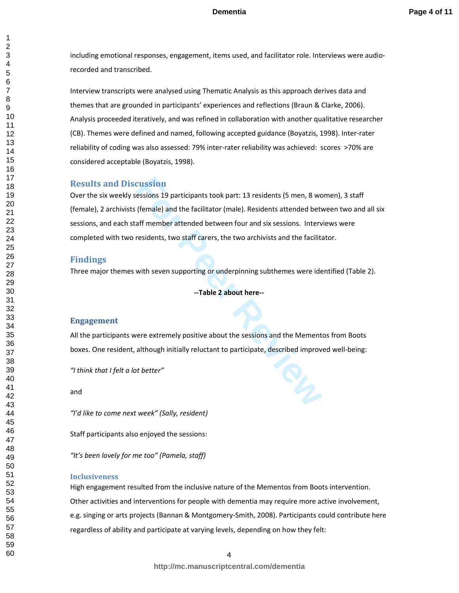including emotional responses, engagement, items used, and facilitator role. Interviews were audiorecorded and transcribed.

Interview transcripts were analysed using Thematic Analysis as this approach derives data and themes that are grounded in participants' experiences and reflections (Braun & Clarke, 2006). Analysis proceeded iteratively, and was refined in collaboration with another qualitative researcher (CB). Themes were defined and named, following accepted guidance (Boyatzis, 1998). Inter-rater reliability of coding was also assessed: 79% inter-rater reliability was achieved: scores >70% are considered acceptable (Boyatzis, 1998).

# **Results and Discussion**

**Example 1** and the facilitator (male). Residents (5 men, 8 word (female) and the facilitator (male). Residents attended betweaf member attended between four and six sessions. Interversidents, two staff carers, the two arc Over the six weekly sessions 19 participants took part: 13 residents (5 men, 8 women), 3 staff (female), 2 archivists (female) and the facilitator (male). Residents attended between two and all six sessions, and each staff member attended between four and six sessions. Interviews were completed with two residents, two staff carers, the two archivists and the facilitator.

## **Findings**

Three major themes with seven supporting or underpinning subthemes were identified (Table 2).

**--Table 2 about here--** 

### **Engagement**

All the participants were extremely positive about the sessions and the Mementos from Boots boxes. One resident, although initially reluctant to participate, described improved well-being:

*"I think that I felt a lot better"* 

and

*"I'd like to come next week" (Sally, resident)* 

Staff participants also enjoyed the sessions:

*"It's been lovely for me too" (Pamela, staff)* 

#### **Inclusiveness**

High engagement resulted from the inclusive nature of the Mementos from Boots intervention. Other activities and interventions for people with dementia may require more active involvement, e.g. singing or arts projects (Bannan & Montgomery-Smith, 2008). Participants could contribute here regardless of ability and participate at varying levels, depending on how they felt: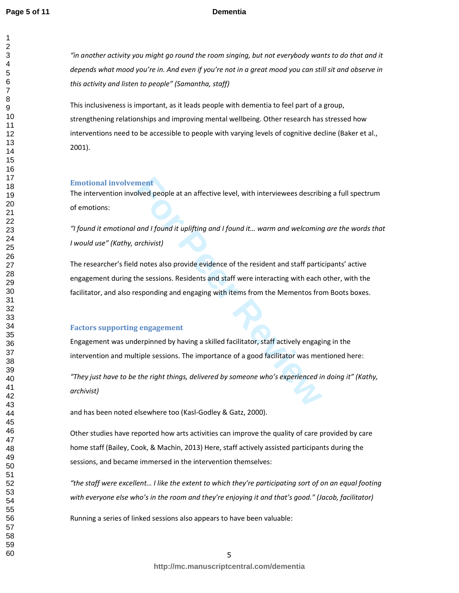$\mathbf{1}$ 

#### **Dementia**

*"in another activity you might go round the room singing, but not everybody wants to do that and it depends what mood you're in. And even if you're not in a great mood you can still sit and observe in this activity and listen to people" (Samantha, staff)* 

This inclusiveness is important, as it leads people with dementia to feel part of a group, strengthening relationships and improving mental wellbeing. Other research has stressed how interventions need to be accessible to people with varying levels of cognitive decline (Baker et al., 2001).

## **Emotional involvement**

The intervention involved people at an affective level, with interviewees describing a full spectrum of emotions:

*"I found it emotional and I found it uplifting and I found it… warm and welcoming are the words that I would use" (Kathy, archivist)* 

ment<br>
Showed people at an affective level, with interviewees describing<br>
And I found it uplifting and I found it... warm and welcoming<br>
Anotes also provide evidence of the resident and staff particle<br>
the sessions. Residen The researcher's field notes also provide evidence of the resident and staff participants' active engagement during the sessions. Residents and staff were interacting with each other, with the facilitator, and also responding and engaging with items from the Mementos from Boots boxes.

#### **Factors supporting engagement**

Engagement was underpinned by having a skilled facilitator, staff actively engaging in the intervention and multiple sessions. The importance of a good facilitator was mentioned here:

*"They just have to be the right things, delivered by someone who's experienced in doing it" (Kathy, archivist)* 

and has been noted elsewhere too (Kasl-Godley & Gatz, 2000).

Other studies have reported how arts activities can improve the quality of care provided by care home staff (Bailey, Cook, & Machin, 2013) Here, staff actively assisted participants during the sessions, and became immersed in the intervention themselves:

*"the staff were excellent… I like the extent to which they're participating sort of on an equal footing with everyone else who's in the room and they're enjoying it and that's good." (Jacob, facilitator)* 

Running a series of linked sessions also appears to have been valuable: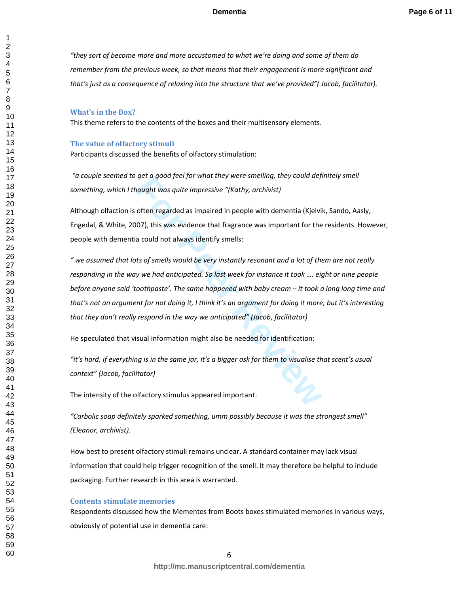*"they sort of become more and more accustomed to what we're doing and some of them do remember from the previous week, so that means that their engagement is more significant and that's just as a consequence of relaxing into the structure that we've provided"( Jacob, facilitator).*

#### **What's in the Box?**

This theme refers to the contents of the boxes and their multisensory elements.

#### **The value of olfactory stimuli**

Participants discussed the benefits of olfactory stimulation:

 *"a couple seemed to get a good feel for what they were smelling, they could definitely smell something, which I thought was quite impressive "(Kathy, archivist)* 

Although olfaction is often regarded as impaired in people with dementia (Kjelvik, Sando, Aasly, Engedal, & White, 2007), this was evidence that fragrance was important for the residents. However, people with dementia could not always identify smells:

get a good jeer jor what they were sineming, they could definated as impaired "(Kathy, archivist)<br>
often regarded as impaired in people with dementia (Kjelvil<br>
007), this was evidence that fragrance was important for the<br> *" we assumed that lots of smells would be very instantly resonant and a lot of them are not really responding in the way we had anticipated. So last week for instance it took …. eight or nine people before anyone said 'toothpaste'. The same happened with baby cream – it took a long long time and that's not an argument for not doing it, I think it's an argument for doing it more, but it's interesting that they don't really respond in the way we anticipated" (Jacob, facilitator)* 

He speculated that visual information might also be needed for identification:

*"it's hard, if everything is in the same jar, it's a bigger ask for them to visualise that scent's usual context" (Jacob, facilitator)* 

The intensity of the olfactory stimulus appeared important:

*"Carbolic soap definitely sparked something, umm possibly because it was the strongest smell" (Eleanor, archivist).*

How best to present olfactory stimuli remains unclear. A standard container may lack visual information that could help trigger recognition of the smell. It may therefore be helpful to include packaging. Further research in this area is warranted.

#### **Contents stimulate memories**

Respondents discussed how the Mementos from Boots boxes stimulated memories in various ways, obviously of potential use in dementia care: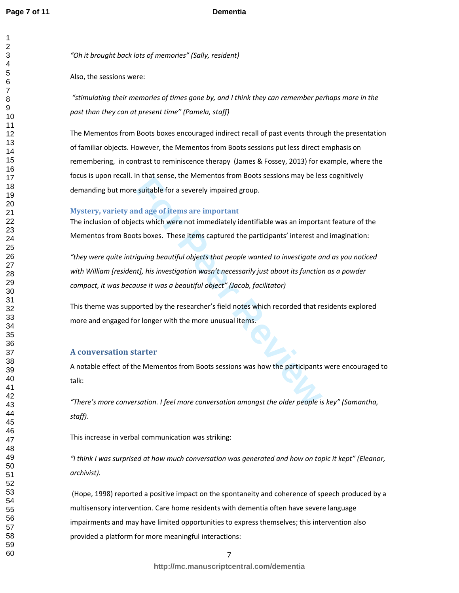$\mathbf{1}$ 

### **Dementia**

*"Oh it brought back lots of memories" (Sally, resident)* 

Also, the sessions were:

 *"stimulating their memories of times gone by, and I think they can remember perhaps more in the past than they can at present time" (Pamela, staff)*

The Mementos from Boots boxes encouraged indirect recall of past events through the presentation of familiar objects. However, the Mementos from Boots sessions put less direct emphasis on remembering, in contrast to reminiscence therapy (James & Fossey, 2013) for example, where the focus is upon recall. In that sense, the Mementos from Boots sessions may be less cognitively demanding but more suitable for a severely impaired group.

#### **Mystery, variety and age of items are important**

The inclusion of objects which were not immediately identifiable was an important feature of the Mementos from Boots boxes. These items captured the participants' interest and imagination:

**For Persons Internal Structure Constant Internal Structure is suitable for a severely impaired group.**<br> **Ad age of items are important**<br> **Constant Addage of items are important**<br> **Constant Strate Example Addage Strate Pro** *"they were quite intriguing beautiful objects that people wanted to investigate and as you noticed with William [resident], his investigation wasn't necessarily just about its function as a powder compact, it was because it was a beautiful object" (Jacob, facilitator)*

This theme was supported by the researcher's field notes which recorded that residents explored more and engaged for longer with the more unusual items.

# **A conversation starter**

A notable effect of the Mementos from Boots sessions was how the participants were encouraged to talk:

*"There's more conversation. I feel more conversation amongst the older people is key" (Samantha, staff)*.

This increase in verbal communication was striking:

*"I think I was surprised at how much conversation was generated and how on topic it kept" (Eleanor, archivist).* 

 (Hope, 1998) reported a positive impact on the spontaneity and coherence of speech produced by a multisensory intervention. Care home residents with dementia often have severe language impairments and may have limited opportunities to express themselves; this intervention also provided a platform for more meaningful interactions: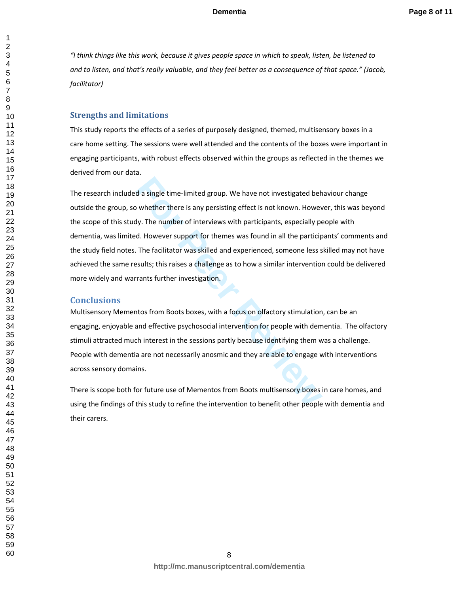*"I think things like this work, because it gives people space in which to speak, listen, be listened to and to listen, and that's really valuable, and they feel better as a consequence of that space." (Jacob, facilitator)* 

#### **Strengths and limitations**

This study reports the effects of a series of purposely designed, themed, multisensory boxes in a care home setting. The sessions were well attended and the contents of the boxes were important in engaging participants, with robust effects observed within the groups as reflected in the themes we derived from our data.

d a single time-limited group. We have not investigated beh<br>
whether there is any persisting effect is not known. Howev<br>
Hy. The number of interviews with participants, especially pe<br>
d. However support for themes was foun The research included a single time-limited group. We have not investigated behaviour change outside the group, so whether there is any persisting effect is not known. However, this was beyond the scope of this study. The number of interviews with participants, especially people with dementia, was limited. However support for themes was found in all the participants' comments and the study field notes. The facilitator was skilled and experienced, someone less skilled may not have achieved the same results; this raises a challenge as to how a similar intervention could be delivered more widely and warrants further investigation.

#### **Conclusions**

Multisensory Mementos from Boots boxes, with a focus on olfactory stimulation, can be an engaging, enjoyable and effective psychosocial intervention for people with dementia. The olfactory stimuli attracted much interest in the sessions partly because identifying them was a challenge. People with dementia are not necessarily anosmic and they are able to engage with interventions across sensory domains.

There is scope both for future use of Mementos from Boots multisensory boxes in care homes, and using the findings of this study to refine the intervention to benefit other people with dementia and their carers.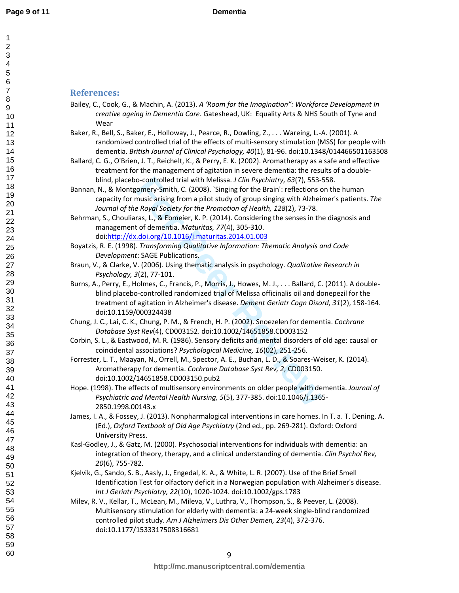| 1       |  |
|---------|--|
|         |  |
|         |  |
|         |  |
|         |  |
|         |  |
|         |  |
|         |  |
|         |  |
|         |  |
|         |  |
|         |  |
|         |  |
|         |  |
|         |  |
|         |  |
|         |  |
|         |  |
|         |  |
|         |  |
|         |  |
|         |  |
|         |  |
|         |  |
|         |  |
|         |  |
|         |  |
|         |  |
|         |  |
|         |  |
|         |  |
|         |  |
|         |  |
|         |  |
|         |  |
|         |  |
|         |  |
|         |  |
|         |  |
|         |  |
| 40      |  |
| 41      |  |
| 42      |  |
| 43      |  |
| 44      |  |
| 45      |  |
| 46      |  |
| 47      |  |
| 48      |  |
| 49      |  |
| 50      |  |
| 51      |  |
| 52      |  |
| 53<br>3 |  |
| 54      |  |
| 55      |  |
| 56<br>έ |  |
| 57      |  |
| 58      |  |
| 59      |  |
|         |  |
| 60      |  |

# **References:**

- Bailey, C., Cook, G., & Machin, A. (2013). *A 'Room for the Imagination": Workforce Development In creative ageing in Dementia Care*. Gateshead, UK: Equality Arts & NHS South of Tyne and Wear
- Baker, R., Bell, S., Baker, E., Holloway, J., Pearce, R., Dowling, Z., . . . Wareing, L.-A. (2001). A randomized controlled trial of the effects of multi-sensory stimulation (MSS) for people with dementia. *British Journal of Clinical Psychology, 40*(1), 81-96. doi:10.1348/014466501163508
- Ballard, C. G., O'Brien, J. T., Reichelt, K., & Perry, E. K. (2002). Aromatherapy as a safe and effective treatment for the management of agitation in severe dementia: the results of a doubleblind, placebo-controlled trial with Melissa. *J Clin Psychiatry, 63*(7), 553-558.
- Bannan, N., & Montgomery-Smith, C. (2008). `Singing for the Brain': reflections on the human capacity for music arising from a pilot study of group singing with Alzheimer's patients. *The Journal of the Royal Society for the Promotion of Health, 128*(2), 73-78.
- Behrman, S., Chouliaras, L., & Ebmeier, K. P. (2014). Considering the senses in the diagnosis and management of dementia. *Maturitas, 77*(4), 305-310. doi:http://dx.doi.org/10.1016/j.maturitas.2014.01.003
- Boyatzis, R. E. (1998). *Transforming Qualitative Information: Thematic Analysis and Code Development*: SAGE Publications.
- Braun, V., & Clarke, V. (2006). Using thematic analysis in psychology. *Qualitative Research in Psychology, 3*(2), 77-101.
- o-controlled trial with Melissa. *J Clin Psychiatry, 63*(7), 553-1;<br>
omery-Smith, C. (2008). 'Singing for the Brain': reflections c<br>
music arising from a pilot study of group singing with Alzheir<br> *FRONO Society for the Pr* Burns, A., Perry, E., Holmes, C., Francis, P., Morris, J., Howes, M. J., . . . Ballard, C. (2011). A doubleblind placebo-controlled randomized trial of Melissa officinalis oil and donepezil for the treatment of agitation in Alzheimer's disease. *Dement Geriatr Cogn Disord, 31*(2), 158-164. doi:10.1159/000324438
- Chung, J. C., Lai, C. K., Chung, P. M., & French, H. P. (2002). Snoezelen for dementia. *Cochrane Database Syst Rev*(4), CD003152. doi:10.1002/14651858.CD003152
- Corbin, S. L., & Eastwood, M. R. (1986). Sensory deficits and mental disorders of old age: causal or coincidental associations? *Psychological Medicine, 16*(02), 251-256.
- Forrester, L. T., Maayan, N., Orrell, M., Spector, A. E., Buchan, L. D., & Soares-Weiser, K. (2014). Aromatherapy for dementia. *Cochrane Database Syst Rev, 2*, CD003150. doi:10.1002/14651858.CD003150.pub2
- Hope. (1998). The effects of multisensory environments on older people with dementia. *Journal of Psychiatric and Mental Health Nursing, 5*(5), 377-385. doi:10.1046/j.1365- 2850.1998.00143.x
- James, I. A., & Fossey, J. (2013). Nonpharmalogical interventions in care homes. In T. a. T. Dening, A. (Ed.), *Oxford Textbook of Old Age Psychiatry* (2nd ed., pp. 269-281). Oxford: Oxford University Press.
- Kasl-Godley, J., & Gatz, M. (2000). Psychosocial interventions for individuals with dementia: an integration of theory, therapy, and a clinical understanding of dementia. *Clin Psychol Rev, 20*(6), 755-782.
- Kjelvik, G., Sando, S. B., Aasly, J., Engedal, K. A., & White, L. R. (2007). Use of the Brief Smell Identification Test for olfactory deficit in a Norwegian population with Alzheimer's disease. *Int J Geriatr Psychiatry, 22*(10), 1020-1024. doi:10.1002/gps.1783
- Milev, R. V., Kellar, T., McLean, M., Mileva, V., Luthra, V., Thompson, S., & Peever, L. (2008). Multisensory stimulation for elderly with dementia: a 24-week single-blind randomized controlled pilot study. *Am J Alzheimers Dis Other Demen, 23*(4), 372-376. doi:10.1177/1533317508316681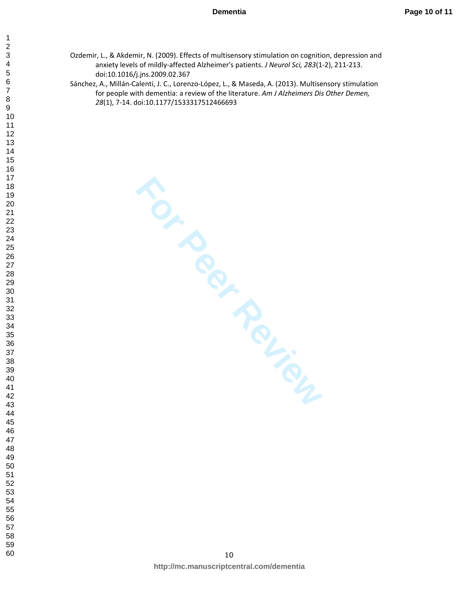- **Dementia**
- Ozdemir, L., & Akdemir, N. (2009). Effects of multisensory stimulation on cognition, depression and anxiety levels of mildly-affected Alzheimer's patients. *J Neurol Sci, 283*(1-2), 211-213. doi:10.1016/j.jns.2009.02.367
- Sánchez, A., Millán-Calenti, J. C., Lorenzo-López, L., & Maseda, A. (2013). Multisensory stimulation for people with dementia: a review of the literature. *Am J Alzheimers Dis Other Demen,*  (1), 7-14. doi:10.1177/1533317512466693